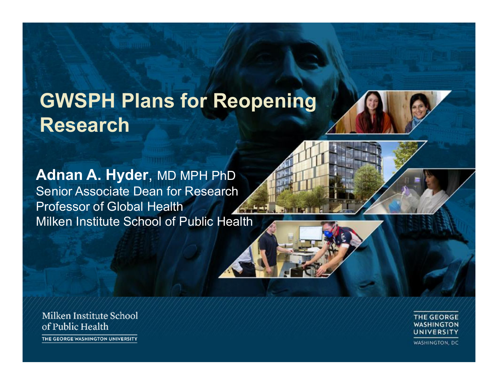# **GWSPH Plans for Reopening Research**

**Adnan A. Hyder**, MD MPH PhD Senior Associate Dean for Research Professor of Global Health Milken Institute School of Public Health

Milken Institute School of Public Health THE GEORGE WASHINGTON UNIVERSITY

**THE GEORGE WASHINGTON** UNIVERSITY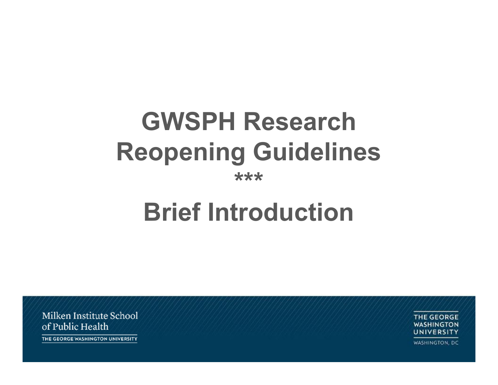# **GWSPH Research Reopening Guidelines \*\*\***

# **Brief Introduction**

Milken Institute School of Public Health

**THE GEORGE WASHINGTON** UNIVERSITY

WASHINGTON, DC

THE GEORGE WASHINGTON UNIVERSITY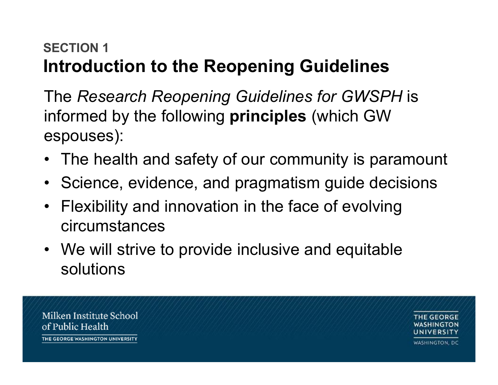#### **SECTION 1Introduction to the Reopening Guidelines**

The *Research Reopening Guidelines for GWSPH* is informed by the following **principles** (which GW espouses):

- The health and safety of our community is paramount
- Science, evidence, and pragmatism guide decisions
- Flexibility and innovation in the face of evolving circumstances
- We will strive to provide inclusive and equitable solutions

Milken Institute School GEORGE of Public Health THE GEORGE WASHINGTON UNIVERSITY **WASHINGTON, DC**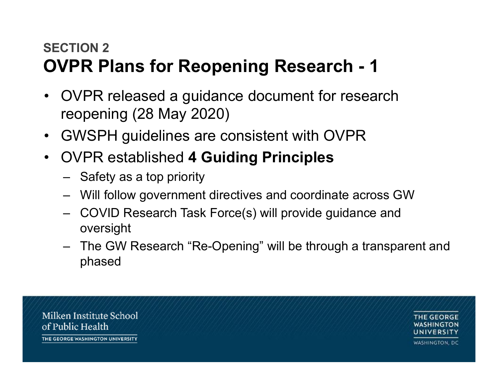#### **SECTION 2OVPR Plans for Reopening Research - 1**

- OVPR released a guidance document for research reopening (28 May 2020)
- GWSPH guidelines are consistent with OVPR
- OVPR established **4 Guiding Principles**
	- Safety as a top priority
	- Will follow government directives and coordinate across GW
	- COVID Research Task Force(s) will provide guidance and oversight
	- The GW Research "Re-Opening" will be through a transparent and phased

Milken Institute School of Public Health THE GEORGE WASHINGTON UNIVERSITY

E GEORGE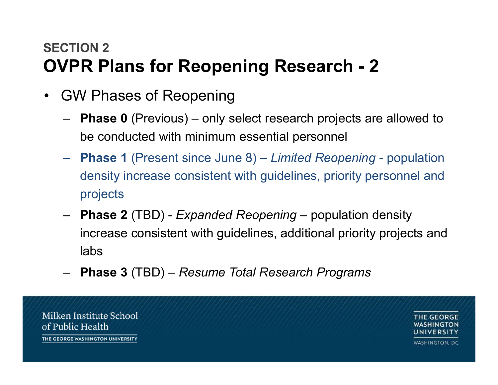#### **SECTION 2OVPR Plans for Reopening Research - 2**

- GW Phases of Reopening
	- – **Phase 0** (Previous) – only select research projects are allowed to be conducted with minimum essential personnel
	- **Phase 1** (Present since June 8) *Limited Reopening* population density increase consistent with guidelines, priority personnel and projects
	- – **Phase 2** (TBD) - *Expanded Reopening* – population density increase consistent with guidelines, additional priority projects and labs
	- –**Phase 3** (TBD) – *Resume Total Research Programs*

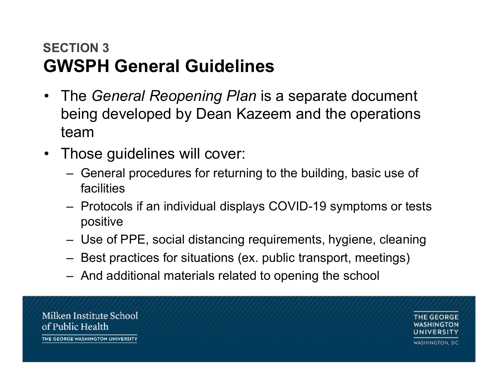#### **SECTION 3GWSPH General Guidelines**

- The *General Reopening Plan* is a separate document being developed by Dean Kazeem and the operations team
- Those guidelines will cover:
	- General procedures for returning to the building, basic use of facilities
	- Protocols if an individual displays COVID-19 symptoms or tests positive
	- Use of PPE, social distancing requirements, hygiene, cleaning
	- Best practices for situations (ex. public transport, meetings)
	- And additional materials related to opening the school

Milken Institute School of Public Health THE GEORGE WASHINGTON UNIVERSITY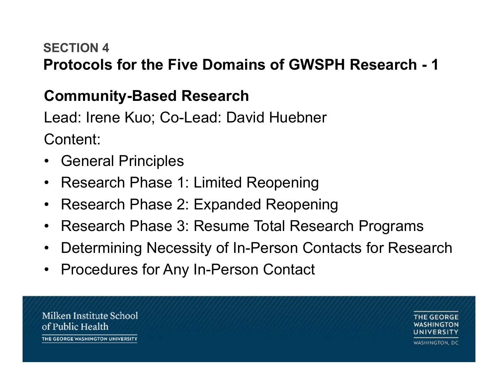#### **SECTION 4Protocols for the Five Domains of GWSPH Research - 1**

#### **Community-Based Research**

Lead: Irene Kuo; Co-Lead: David Huebner Content:

- General Principles
- Research Phase 1: Limited Reopening
- •Research Phase 2: Expanded Reopening
- Research Phase 3: Resume Total Research Programs
- •Determining Necessity of In-Person Contacts for Research
- Procedures for Any In-Person Contact

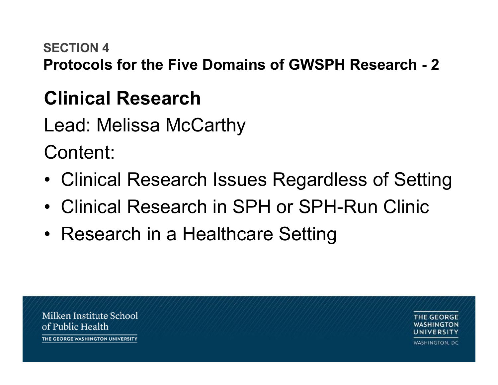#### **SECTION 4**

**Protocols for the Five Domains of GWSPH Research - 2**

# **Clinical Research**

Lead: Melissa McCarthy

Content:

- Clinical Research Issues Regardless of Setting
- Clinical Research in SPH or SPH-Run Clinic
- Research in a Healthcare Setting

Milken Institute School of Public Health THE GEORGE WASHINGTON UNIVERSITY

GEORGE INIVERSITY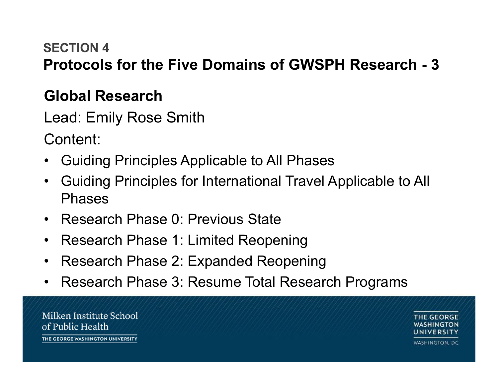#### **SECTION 4Protocols for the Five Domains of GWSPH Research - 3**

#### **Global Research**

Lead: Emily Rose Smith

Content:

- •Guiding Principles Applicable to All Phases
- • Guiding Principles for International Travel Applicable to All Phases
- Research Phase 0: Previous State
- Research Phase 1: Limited Reopening
- $\bullet$ Research Phase 2: Expanded Reopening
- $\bullet$ Research Phase 3: Resume Total Research Programs

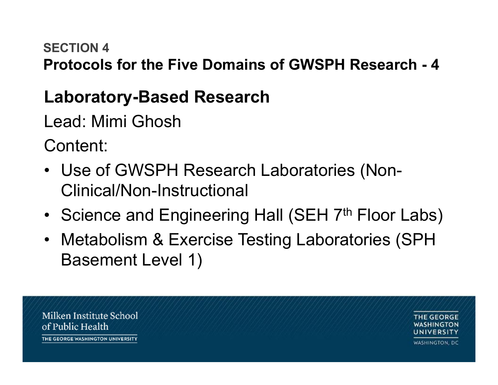#### **SECTION 4**

**Protocols for the Five Domains of GWSPH Research - 4**

### **Laboratory-Based Research**

Lead: Mimi Ghosh

Content:

- Use of GWSPH Research Laboratories (Non-Clinical/Non-Instructional
- •Science and Engineering Hall (SEH 7<sup>th</sup> Floor Labs)
- Metabolism & Exercise Testing Laboratories (SPH Basement Level 1)

Milken Institute School of Public Health THE GEORGE WASHINGTON UNIVERSITY

GEORGE INIVERSITY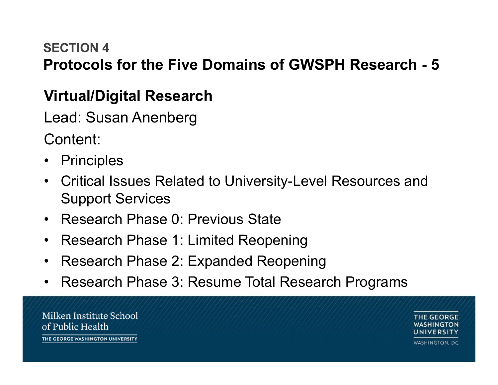#### **SECTION 4Protocols for the Five Domains of GWSPH Research - 5**

#### **Virtual/Digital Research**

Lead: Susan Anenberg

Content:

- •Principles
- Critical Issues Related to University-Level Resources and Support Services
- Research Phase 0: Previous State
- Research Phase 1: Limited Reopening
- $\bullet$ Research Phase 2: Expanded Reopening
- $\bullet$ Research Phase 3: Resume Total Research Programs

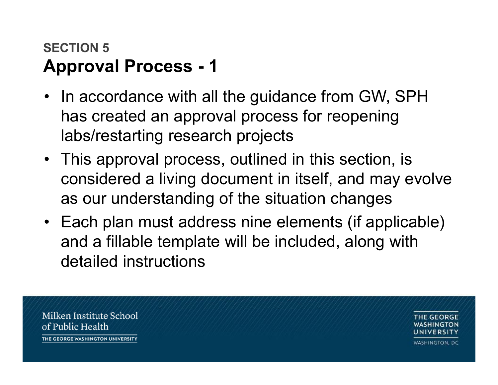#### **SECTION 5Approval Process - 1**

- In accordance with all the guidance from GW, SPH has created an approval process for reopening labs/restarting research projects
- This approval process, outlined in this section, is considered a living document in itself, and may evolve as our understanding of the situation changes
- Each plan must address nine elements (if applicable) and a fillable template will be included, along with detailed instructions

Milken Institute School of Public Health THE GEORGE WASHINGTON UNIVERSITY

GEORGE INIVERSITY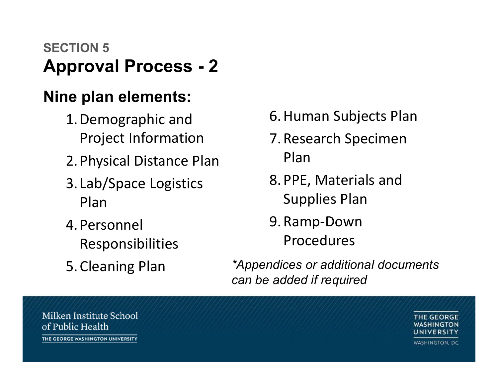#### **SECTION 5Approval Process - 2**

#### **Nine plan elements:**

- 1. Demographic and Project Information
- 2. Physical Distance Plan
- 3. Lab/Space Logistics Plan
- 4. PersonnelResponsibilities
- 5. Cleaning Plan
- 6. Human Subjects Plan
- 7. Research Specimen Plan
- 8. PPE, Materials and Supplies Plan
- 9. Ramp‐Down Procedures
- *\*Appendices or additional documents can be added if required*

Milken Institute School of Public Health THE GEORGE WASHINGTON UNIVERSITY

**THE GEORGE** WASHINGTON UNIVERSITY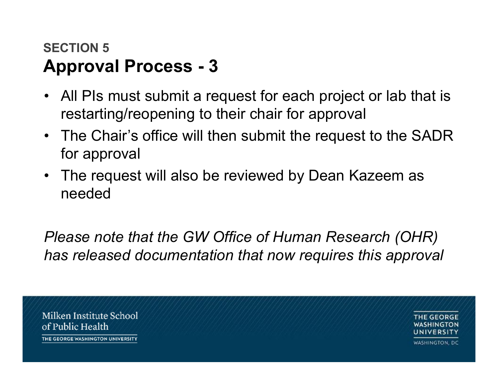#### **SECTION 5Approval Process - 3**

- All PIs must submit a request for each project or lab that is restarting/reopening to their chair for approval
- The Chair's office will then submit the request to the SADR for approval
- The request will also be reviewed by Dean Kazeem as needed

*Please note that the GW Office of Human Research (OHR) has released documentation that now requires this approval*

Milken Institute School of Public Health THE GEORGE WASHINGTON UNIVERSITY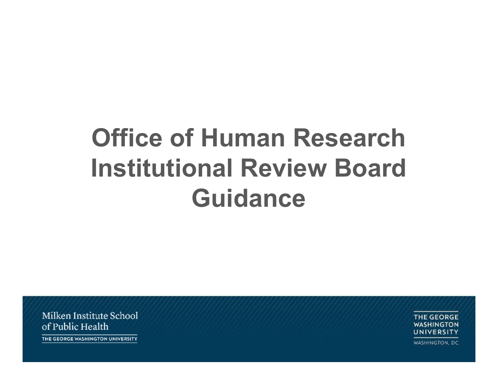# **Office of Human Research Institutional Review Board Guidance**

Milken Institute School of Public Health

**THE GEORGE WASHINGTON** UNIVERSITY

WASHINGTON, DC

THE GEORGE WASHINGTON UNIVERSITY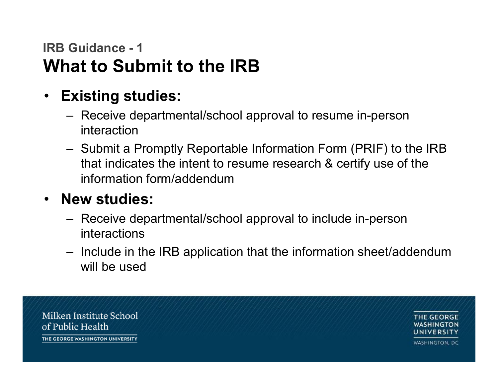#### **IRB Guidance - 1What to Submit to the IRB**

- **Existing studies:**
	- Receive departmental/school approval to resume in-person interaction
	- Submit a Promptly Reportable Information Form (PRIF) to the IRB that indicates the intent to resume research & certify use of the information form/addendum

#### • **New studies:**

- Receive departmental/school approval to include in-person interactions
- Include in the IRB application that the information sheet/addendum will be used

Milken Institute School of Public Health THE GEORGE WASHINGTON UNIVERSITY

INIVERSITY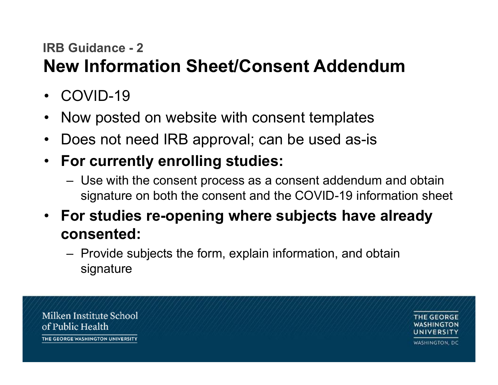#### **IRB Guidance - 2**

## **New Information Sheet/Consent Addendum**

- COVID-19
- •Now posted on website with consent templates
- •Does not need IRB approval; can be used as-is
- • **For currently enrolling studies:** 
	- Use with the consent process as a consent addendum and obtain signature on both the consent and the COVID-19 information sheet
- **For studies re-opening where subjects have already consented:** 
	- Provide subjects the form, explain information, and obtain signature

Milken Institute School of Public Health THE GEORGE WASHINGTON UNIVERSITY **WASHINGTON, DC**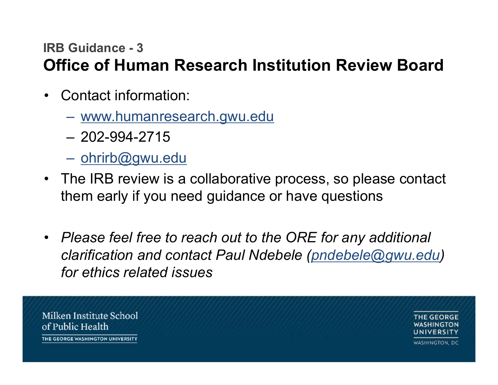#### **IRB Guidance - 3Office of Human Research Institution Review Board**

- Contact information:
	- www.humanresearch.gwu.edu
	- 202-994-2715
	- ohrirb@gwu.edu
- The IRB review is a collaborative process, so please contact them early if you need guidance or have questions
- *Please feel free to reach out to the ORE for any additional clarification and contact Paul Ndebele (pndebele@gwu.edu) for ethics related issues*

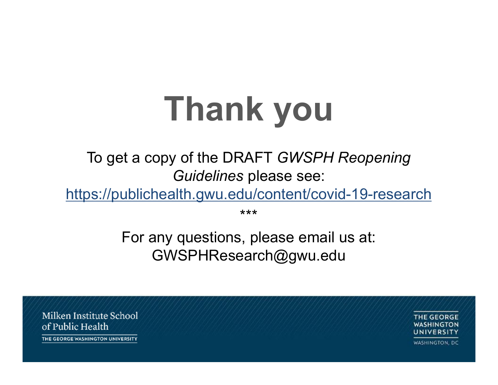# **Thank you**

To get a copy of the DRAFT *GWSPH Reopening Guidelines* please see:

https://publichealth.gwu.edu/content/covid-19-research

\*\*\*

For any questions, please email us at: GWSPHResearch@gwu.edu

Milken Institute School of Public Health THE GEORGE WASHINGTON UNIVERSITY

THE GEORGE WASHINGTON UNIVERSITY